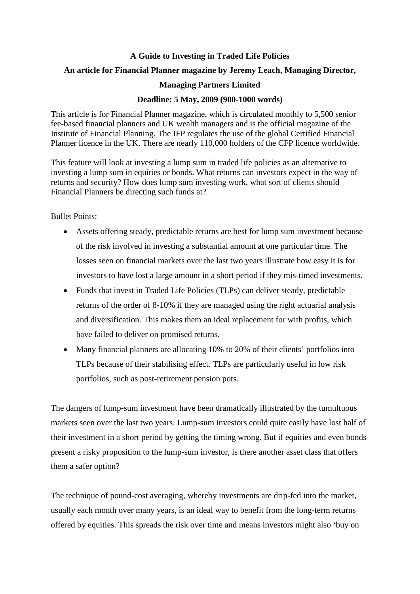## **A Guide to Investing in Traded Life Policies**

## **An article for Financial Planner magazine by Jeremy Leach, Managing Director,**

## **Managing Partners Limited**

## **Deadline: 5 May, 2009 (900-1000 words)**

This article is for Financial Planner magazine, which is circulated monthly to 5,500 senior fee-based financial planners and UK wealth managers and is the official magazine of the Institute of Financial Planning. The IFP regulates the use of the global Certified Financial Planner licence in the UK. There are nearly 110,000 holders of the CFP licence worldwide.

This feature will look at investing a lump sum in traded life policies as an alternative to investing a lump sum in equities or bonds. What returns can investors expect in the way of returns and security? How does lump sum investing work, what sort of clients should Financial Planners be directing such funds at?

Bullet Points:

- Assets offering steady, predictable returns are best for lump sum investment because of the risk involved in investing a substantial amount at one particular time. The losses seen on financial markets over the last two years illustrate how easy it is for investors to have lost a large amount in a short period if they mis-timed investments.
- Funds that invest in Traded Life Policies (TLPs) can deliver steady, predictable returns of the order of 8-10% if they are managed using the right actuarial analysis and diversification. This makes them an ideal replacement for with profits, which have failed to deliver on promised returns.
- Many financial planners are allocating 10% to 20% of their clients' portfolios into TLPs because of their stabilising effect. TLPs are particularly useful in low risk portfolios, such as post-retirement pension pots.

The dangers of lump-sum investment have been dramatically illustrated by the tumultuous markets seen over the last two years. Lump-sum investors could quite easily have lost half of their investment in a short period by getting the timing wrong. But if equities and even bonds present a risky proposition to the lump-sum investor, is there another asset class that offers them a safer option?

The technique of pound-cost averaging, whereby investments are drip-fed into the market, usually each month over many years, is an ideal way to benefit from the long-term returns offered by equities. This spreads the risk over time and means investors might also 'buy on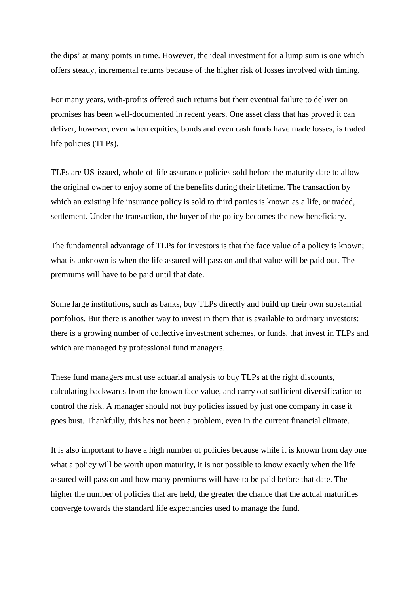the dips' at many points in time. However, the ideal investment for a lump sum is one which offers steady, incremental returns because of the higher risk of losses involved with timing.

For many years, with-profits offered such returns but their eventual failure to deliver on promises has been well-documented in recent years. One asset class that has proved it can deliver, however, even when equities, bonds and even cash funds have made losses, is traded life policies (TLPs).

TLPs are US-issued, whole-of-life assurance policies sold before the maturity date to allow the original owner to enjoy some of the benefits during their lifetime. The transaction by which an existing life insurance policy is sold to third parties is known as a life, or traded, settlement. Under the transaction, the buyer of the policy becomes the new beneficiary.

The fundamental advantage of TLPs for investors is that the face value of a policy is known; what is unknown is when the life assured will pass on and that value will be paid out. The premiums will have to be paid until that date.

Some large institutions, such as banks, buy TLPs directly and build up their own substantial portfolios. But there is another way to invest in them that is available to ordinary investors: there is a growing number of collective investment schemes, or funds, that invest in TLPs and which are managed by professional fund managers.

These fund managers must use actuarial analysis to buy TLPs at the right discounts, calculating backwards from the known face value, and carry out sufficient diversification to control the risk. A manager should not buy policies issued by just one company in case it goes bust. Thankfully, this has not been a problem, even in the current financial climate.

It is also important to have a high number of policies because while it is known from day one what a policy will be worth upon maturity, it is not possible to know exactly when the life assured will pass on and how many premiums will have to be paid before that date. The higher the number of policies that are held, the greater the chance that the actual maturities converge towards the standard life expectancies used to manage the fund.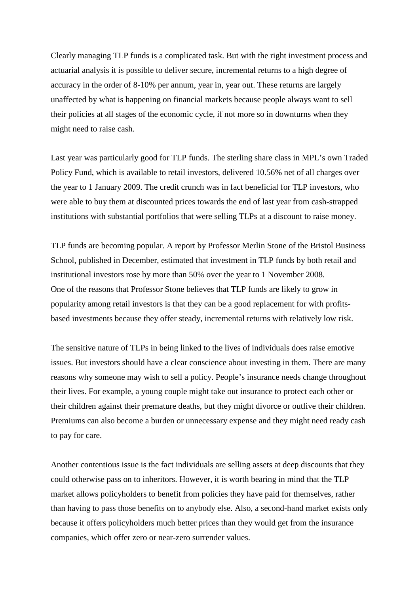Clearly managing TLP funds is a complicated task. But with the right investment process and actuarial analysis it is possible to deliver secure, incremental returns to a high degree of accuracy in the order of 8-10% per annum, year in, year out. These returns are largely unaffected by what is happening on financial markets because people always want to sell their policies at all stages of the economic cycle, if not more so in downturns when they might need to raise cash.

Last year was particularly good for TLP funds. The sterling share class in MPL's own Traded Policy Fund, which is available to retail investors, delivered 10.56% net of all charges over the year to 1 January 2009. The credit crunch was in fact beneficial for TLP investors, who were able to buy them at discounted prices towards the end of last year from cash-strapped institutions with substantial portfolios that were selling TLPs at a discount to raise money.

TLP funds are becoming popular. A report by Professor Merlin Stone of the Bristol Business School, published in December, estimated that investment in TLP funds by both retail and institutional investors rose by more than 50% over the year to 1 November 2008. One of the reasons that Professor Stone believes that TLP funds are likely to grow in popularity among retail investors is that they can be a good replacement for with profitsbased investments because they offer steady, incremental returns with relatively low risk.

The sensitive nature of TLPs in being linked to the lives of individuals does raise emotive issues. But investors should have a clear conscience about investing in them. There are many reasons why someone may wish to sell a policy. People's insurance needs change throughout their lives. For example, a young couple might take out insurance to protect each other or their children against their premature deaths, but they might divorce or outlive their children. Premiums can also become a burden or unnecessary expense and they might need ready cash to pay for care.

Another contentious issue is the fact individuals are selling assets at deep discounts that they could otherwise pass on to inheritors. However, it is worth bearing in mind that the TLP market allows policyholders to benefit from policies they have paid for themselves, rather than having to pass those benefits on to anybody else. Also, a second-hand market exists only because it offers policyholders much better prices than they would get from the insurance companies, which offer zero or near-zero surrender values.